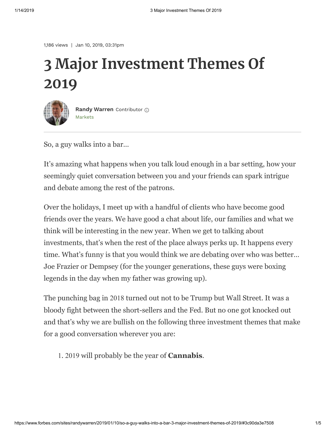1,186 views | Jan 10, 2019, 03:31pm

# **3 Major Investment Themes Of 2019**



[Markets](https://www.forbes.com/markets) **[Randy Warren](https://www.forbes.com/sites/randywarren/)** Contributor

So, a guy walks into a bar…

It's amazing what happens when you talk loud enough in a bar setting, how your seemingly quiet conversation between you and your friends can spark intrigue and debate among the rest of the patrons.

Over the holidays, I meet up with a handful of clients who have become good friends over the years. We have good a chat about life, our families and what we think will be interesting in the new year. When we get to talking about investments, that's when the rest of the place always perks up. It happens every time. What's funny is that you would think we are debating over who was better… Joe Frazier or Dempsey (for the younger generations, these guys were boxing legends in the day when my father was growing up).

The punching bag in 2018 turned out not to be Trump but Wall Street. It was a bloody fight between the short-sellers and the Fed. But no one got knocked out and that's why we are bullish on the following three investment themes that make for a good conversation wherever you are:

1. 2019 will probably be the year of **Cannabis**.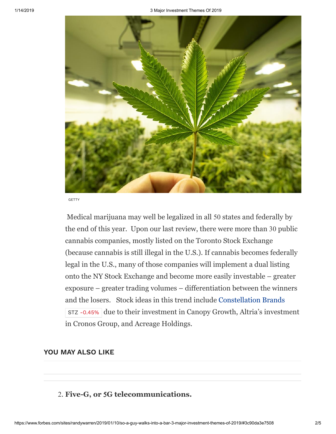

**GETTY** 

 Medical marijuana may well be legalized in all 50 states and federally by the end of this year. Upon our last review, there were more than 30 public cannabis companies, mostly listed on the Toronto Stock Exchange (because cannabis is still illegal in the U.S.). If cannabis becomes federally legal in the U.S., many of those companies will implement a dual listing onto the NY Stock Exchange and become more easily investable – greater exposure – greater trading volumes – differentiation between the winners and the losers. Stock ideas in this trend include [Constellation Brands](https://www.forbes.com/companies/constellation-brands/) due to their investment in Canopy Growth, Altria's investment [STZ -0.45%](https://www.forbes.com/companies/constellation-brands/)in Cronos Group, and Acreage Holdings.

#### **YOU MAY ALSO LIKE**

#### 2. **Five-G, or** 5**G telecommunications.**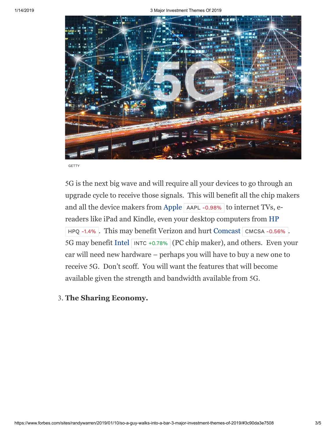

GETTY

5G is the next big wave and will require all your devices to go through an upgrade cycle to receive those signals. This will benefit all the chip makers and all the device makers from [Apple](https://www.forbes.com/companies/apple/)  $\mid$  AAPL -0.98%  $\mid$  to internet TVs, ereaders like iPad and Kindle, even your desktop computers from [HP](https://www.forbes.com/companies/hp/)  $HPQ -1.4\%$ . This may benefit Verizon and hurt [Comcast](https://www.forbes.com/companies/comcast/)  $\vert$  cmcsa -0.56%. 5G may benefit [Intel](https://www.forbes.com/companies/intel/) | INTC +0.78% | (PC chip maker), and others. Even your car will need new hardware – perhaps you will have to buy a new one to receive 5G. Don't scoff. You will want the features that will become available given the strength and bandwidth available from 5G.

### 3. **The Sharing Economy.**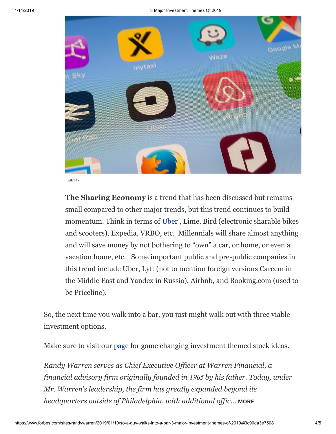

**GETTY** 

**The Sharing Economy** is a trend that has been discussed but remains small compared to other major trends, but this trend continues to build momentum. Think in terms of [Uber](https://www.forbes.com/companies/uber/) , Lime, Bird (electronic sharable bikes and scooters), Expedia, VRBO, etc. Millennials will share almost anything and will save money by not bothering to "own" a car, or home, or even a vacation home, etc. Some important public and pre-public companies in this trend include Uber, Lyft (not to mention foreign versions Careem in the Middle East and Yandex in Russia), Airbnb, and Booking.com (used to be Priceline).

So, the next time you walk into a bar, you just might walk out with three viable investment options.

Make sure to visit our [page](http://warrenfinancial.com/forbes-2019-themes/) for game changing investment themed stock ideas.

*Randy Warren serves as Chief Executive Officer at Warren Financial, a financial advisory firm originally founded in* 1965 *by his father. Today, under Mr. Warren's leadership, the firm has greatly expanded beyond its headquarters outside of Philadelphia, with additional offic...* **[MORE](https://www.forbes.com/sites/randywarren/)**